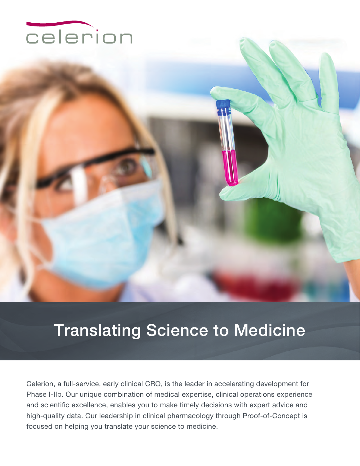

# Translating Science to Medicine

Celerion, a full-service, early clinical CRO, is the leader in accelerating development for Phase I-IIb. Our unique combination of medical expertise, clinical operations experience and scientific excellence, enables you to make timely decisions with expert advice and high-quality data. Our leadership in clinical pharmacology through Proof-of-Concept is focused on helping you translate your science to medicine.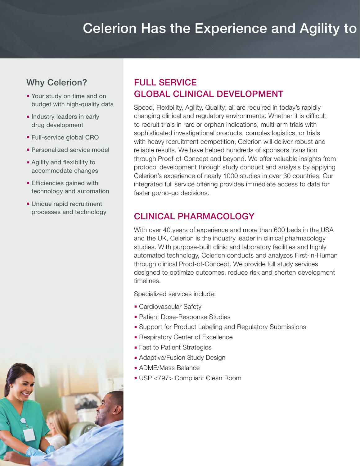## Celerion Has the Experience and Agility to

#### Why Celerion?

- Your study on time and on budget with high-quality data
- **n** Industry leaders in early drug development
- **Full-service global CRO**
- Personalized service model
- **Agility and flexibility to** accommodate changes
- $\blacksquare$  Efficiencies gained with technology and automation
- **Unique rapid recruitment** processes and technology



### Full ServiCe GlObal CliniCal DevelOpmenT

Speed, Flexibility, Agility, Quality; all are required in today's rapidly changing clinical and regulatory environments. Whether it is difficult to recruit trials in rare or orphan indications, multi-arm trials with sophisticated investigational products, complex logistics, or trials with heavy recruitment competition, Celerion will deliver robust and reliable results. We have helped hundreds of sponsors transition through Proof-of-Concept and beyond. We offer valuable insights from protocol development through study conduct and analysis by applying Celerion's experience of nearly 1000 studies in over 30 countries. Our integrated full service offering provides immediate access to data for faster go/no-go decisions.

#### CliniCal pharmaCOlOGY

With over 40 years of experience and more than 600 beds in the USA and the UK, Celerion is the industry leader in clinical pharmacology studies. With purpose-built clinic and laboratory facilities and highly automated technology, Celerion conducts and analyzes First-in-Human through clinical Proof-of-Concept. We provide full study services designed to optimize outcomes, reduce risk and shorten development timelines.

Specialized services include:

- Cardiovascular Safety
- **Patient Dose-Response Studies**
- **Example 1** Support for Product Labeling and Regulatory Submissions
- **Respiratory Center of Excellence**
- Fast to Patient Strategies
- **Adaptive/Fusion Study Design**
- ADME/Mass Balance
- <sup>n</sup> USP <797> Compliant Clean Room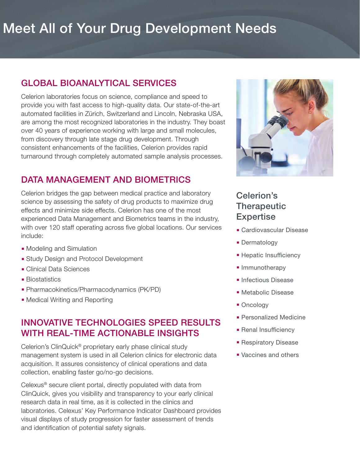# Meet All of Your Drug Development Needs

#### GlObal biOanalYTiCal ServiCeS

Celerion laboratories focus on science, compliance and speed to provide you with fast access to high-quality data. Our state-of-the-art automated facilities in Zürich, Switzerland and Lincoln, Nebraska USA, are among the most recognized laboratories in the industry. They boast over 40 years of experience working with large and small molecules, from discovery through late stage drug development. Through consistent enhancements of the facilities, Celerion provides rapid turnaround through completely automated sample analysis processes.

#### DaTa manaGemenT anD biOmeTriCS

Celerion bridges the gap between medical practice and laboratory science by assessing the safety of drug products to maximize drug effects and minimize side effects. Celerion has one of the most experienced Data Management and Biometrics teams in the industry, with over 120 staff operating across five global locations. Our services include:

- Modeling and Simulation
- **Study Design and Protocol Development**
- Clinical Data Sciences
- $\blacksquare$  Biostatistics
- Pharmacokinetics/Pharmacodynamics (PK/PD)
- Medical Writing and Reporting

#### innOvaTive TeChnOlOGieS SpeeD reSulTS WiTh real-Time aCTiOnable inSiGhTS

Celerion's ClinQuick® proprietary early phase clinical study management system is used in all Celerion clinics for electronic data acquisition. It assures consistency of clinical operations and data collection, enabling faster go/no-go decisions.

Celexus® secure client portal, directly populated with data from ClinQuick, gives you visibility and transparency to your early clinical research data in real time, as it is collected in the clinics and laboratories. Celexus' Key Performance Indicator Dashboard provides visual displays of study progression for faster assessment of trends and identification of potential safety signals.



#### Celerion's **Therapeutic Expertise**

- **E** Cardiovascular Disease
- **Dermatology**
- **E** Hepatic Insufficiency
- Immunotherapy
- **n** Infectious Disease
- **Netabolic Disease**
- Oncology
- **Personalized Medicine**
- **Renal Insufficiency**
- **Respiratory Disease**
- **Vaccines and others**